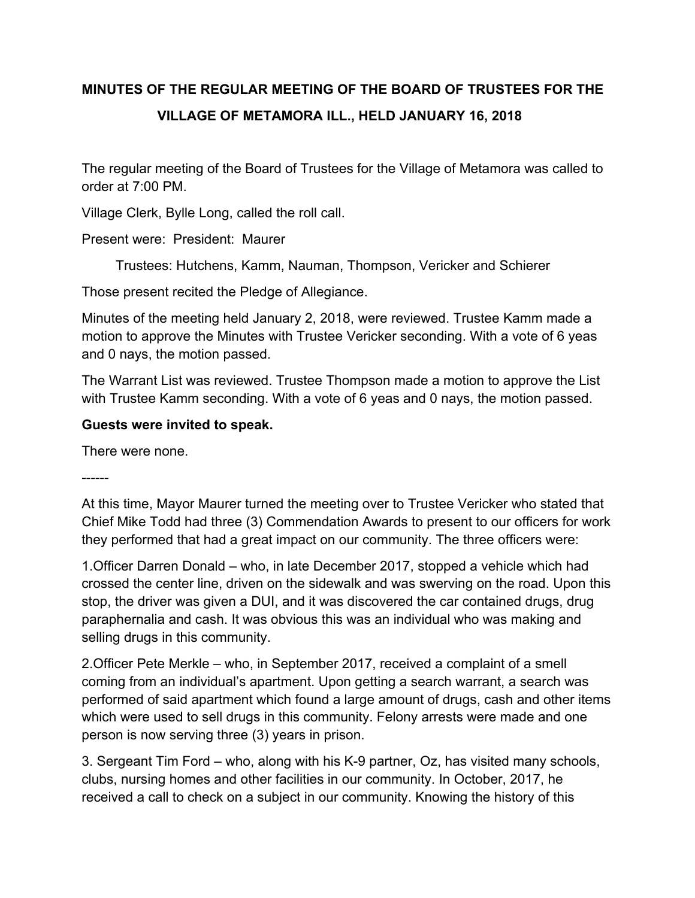# **MINUTES OF THE REGULAR MEETING OF THE BOARD OF TRUSTEES FOR THE VILLAGE OF METAMORA ILL., HELD JANUARY 16, 2018**

The regular meeting of the Board of Trustees for the Village of Metamora was called to order at 7:00 PM.

Village Clerk, Bylle Long, called the roll call.

Present were: President: Maurer

Trustees: Hutchens, Kamm, Nauman, Thompson, Vericker and Schierer

Those present recited the Pledge of Allegiance.

Minutes of the meeting held January 2, 2018, were reviewed. Trustee Kamm made a motion to approve the Minutes with Trustee Vericker seconding. With a vote of 6 yeas and 0 nays, the motion passed.

The Warrant List was reviewed. Trustee Thompson made a motion to approve the List with Trustee Kamm seconding. With a vote of 6 yeas and 0 nays, the motion passed.

#### **Guests were invited to speak.**

There were none.

------

At this time, Mayor Maurer turned the meeting over to Trustee Vericker who stated that Chief Mike Todd had three (3) Commendation Awards to present to our officers for work they performed that had a great impact on our community. The three officers were:

1.Officer Darren Donald – who, in late December 2017, stopped a vehicle which had crossed the center line, driven on the sidewalk and was swerving on the road. Upon this stop, the driver was given a DUI, and it was discovered the car contained drugs, drug paraphernalia and cash. It was obvious this was an individual who was making and selling drugs in this community.

2.Officer Pete Merkle – who, in September 2017, received a complaint of a smell coming from an individual's apartment. Upon getting a search warrant, a search was performed of said apartment which found a large amount of drugs, cash and other items which were used to sell drugs in this community. Felony arrests were made and one person is now serving three (3) years in prison.

3. Sergeant Tim Ford – who, along with his K-9 partner, Oz, has visited many schools, clubs, nursing homes and other facilities in our community. In October, 2017, he received a call to check on a subject in our community. Knowing the history of this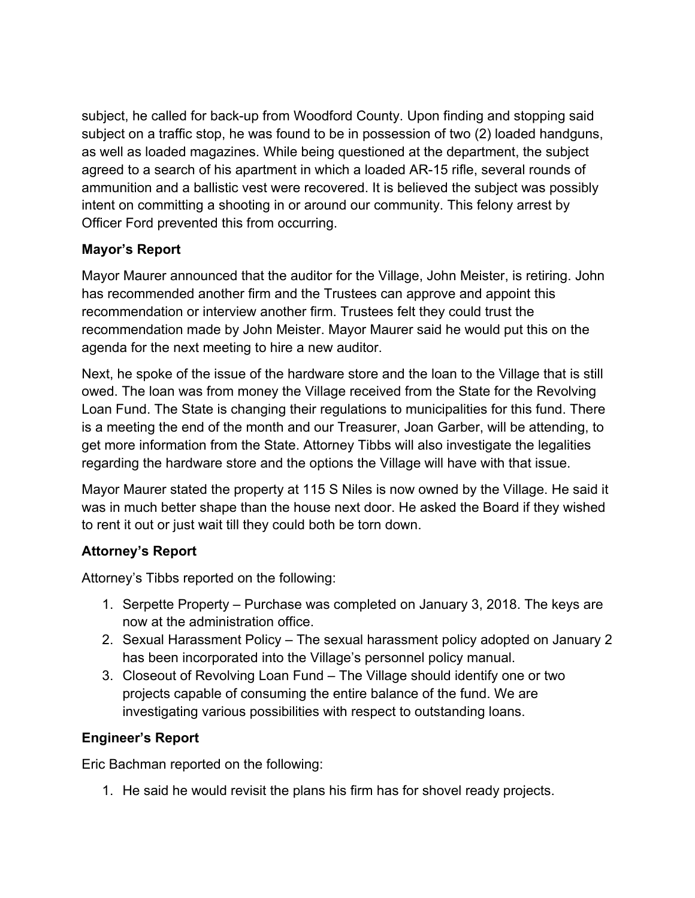subject, he called for back-up from Woodford County. Upon finding and stopping said subject on a traffic stop, he was found to be in possession of two (2) loaded handguns, as well as loaded magazines. While being questioned at the department, the subject agreed to a search of his apartment in which a loaded AR-15 rifle, several rounds of ammunition and a ballistic vest were recovered. It is believed the subject was possibly intent on committing a shooting in or around our community. This felony arrest by Officer Ford prevented this from occurring.

# **Mayor's Report**

Mayor Maurer announced that the auditor for the Village, John Meister, is retiring. John has recommended another firm and the Trustees can approve and appoint this recommendation or interview another firm. Trustees felt they could trust the recommendation made by John Meister. Mayor Maurer said he would put this on the agenda for the next meeting to hire a new auditor.

Next, he spoke of the issue of the hardware store and the loan to the Village that is still owed. The loan was from money the Village received from the State for the Revolving Loan Fund. The State is changing their regulations to municipalities for this fund. There is a meeting the end of the month and our Treasurer, Joan Garber, will be attending, to get more information from the State. Attorney Tibbs will also investigate the legalities regarding the hardware store and the options the Village will have with that issue.

Mayor Maurer stated the property at 115 S Niles is now owned by the Village. He said it was in much better shape than the house next door. He asked the Board if they wished to rent it out or just wait till they could both be torn down.

# **Attorney's Report**

Attorney's Tibbs reported on the following:

- 1. Serpette Property Purchase was completed on January 3, 2018. The keys are now at the administration office.
- 2. Sexual Harassment Policy The sexual harassment policy adopted on January 2 has been incorporated into the Village's personnel policy manual.
- 3. Closeout of Revolving Loan Fund The Village should identify one or two projects capable of consuming the entire balance of the fund. We are investigating various possibilities with respect to outstanding loans.

# **Engineer's Report**

Eric Bachman reported on the following:

1. He said he would revisit the plans his firm has for shovel ready projects.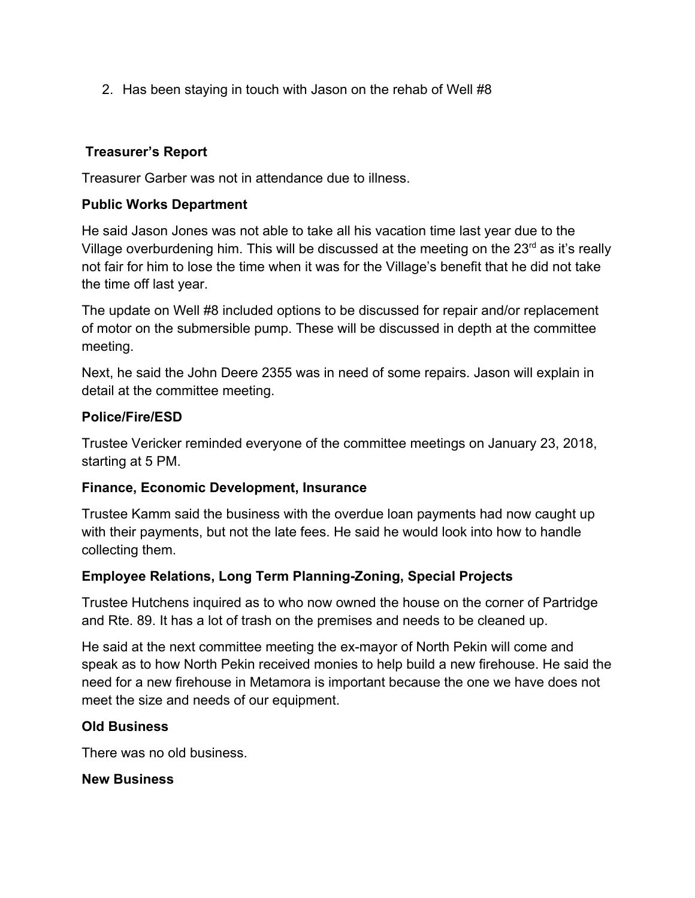2. Has been staying in touch with Jason on the rehab of Well #8

## **Treasurer's Report**

Treasurer Garber was not in attendance due to illness.

## **Public Works Department**

He said Jason Jones was not able to take all his vacation time last year due to the Village overburdening him. This will be discussed at the meeting on the  $23<sup>rd</sup>$  as it's really not fair for him to lose the time when it was for the Village's benefit that he did not take the time off last year.

The update on Well #8 included options to be discussed for repair and/or replacement of motor on the submersible pump. These will be discussed in depth at the committee meeting.

Next, he said the John Deere 2355 was in need of some repairs. Jason will explain in detail at the committee meeting.

#### **Police/Fire/ESD**

Trustee Vericker reminded everyone of the committee meetings on January 23, 2018, starting at 5 PM.

#### **Finance, Economic Development, Insurance**

Trustee Kamm said the business with the overdue loan payments had now caught up with their payments, but not the late fees. He said he would look into how to handle collecting them.

## **Employee Relations, Long Term Planning-Zoning, Special Projects**

Trustee Hutchens inquired as to who now owned the house on the corner of Partridge and Rte. 89. It has a lot of trash on the premises and needs to be cleaned up.

He said at the next committee meeting the ex-mayor of North Pekin will come and speak as to how North Pekin received monies to help build a new firehouse. He said the need for a new firehouse in Metamora is important because the one we have does not meet the size and needs of our equipment.

## **Old Business**

There was no old business.

**New Business**